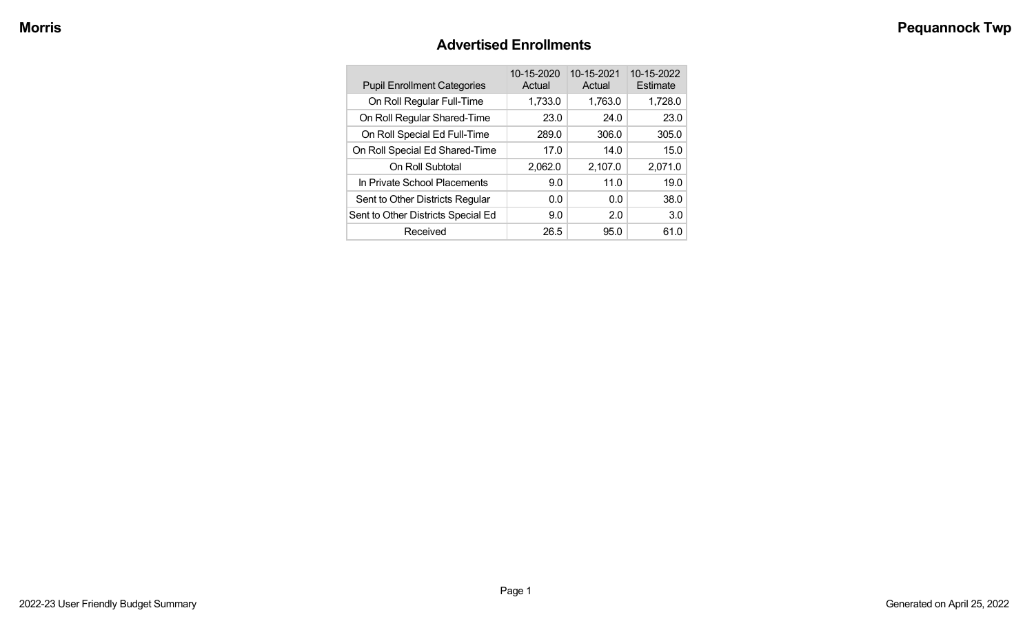### **Advertised Enrollments**

| <b>Pupil Enrollment Categories</b> | 10-15-2020<br>Actual | 10-15-2021<br>Actual | 10-15-2022<br>Estimate |
|------------------------------------|----------------------|----------------------|------------------------|
| On Roll Regular Full-Time          | 1,733.0              | 1,763.0              | 1,728.0                |
| On Roll Regular Shared-Time        | 23.0                 | 24.0                 | 23.0                   |
| On Roll Special Ed Full-Time       | 289.0                | 306.0                | 305.0                  |
| On Roll Special Ed Shared-Time     | 17.0                 | 14.0                 | 15.0                   |
| On Roll Subtotal                   | 2,062.0              | 2,107.0              | 2,071.0                |
| In Private School Placements       | 9.0                  | 11.0                 | 19.0                   |
| Sent to Other Districts Regular    | 0.0                  | 0.0                  | 38.0                   |
| Sent to Other Districts Special Ed | 9.0                  | 2.0                  | 3.0                    |
| Received                           | 26.5                 | 95.0                 | 61.0                   |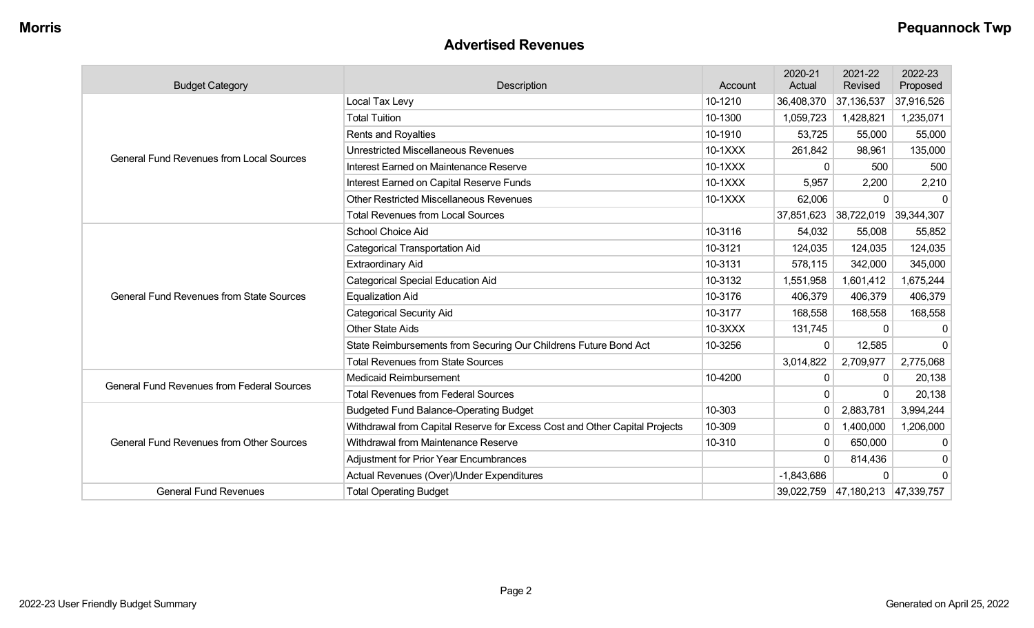#### **Advertised Revenues**

| <b>Budget Category</b>                            | Description                                                                | Account   | 2020-21<br>Actual | 2021-22<br><b>Revised</b>        | 2022-23<br>Proposed |
|---------------------------------------------------|----------------------------------------------------------------------------|-----------|-------------------|----------------------------------|---------------------|
|                                                   | Local Tax Levy                                                             | 10-1210   | 36,408,370        | 37,136,537                       | 37,916,526          |
|                                                   | <b>Total Tuition</b>                                                       | 10-1300   | 1,059,723         | 1,428,821                        | 1,235,071           |
|                                                   | Rents and Royalties                                                        | 10-1910   | 53,725            | 55,000                           | 55,000              |
| <b>General Fund Revenues from Local Sources</b>   | <b>Unrestricted Miscellaneous Revenues</b>                                 | 10-1XXX   | 261,842           | 98,961                           | 135,000             |
|                                                   | Interest Earned on Maintenance Reserve                                     | 10-1XXX   | $\Omega$          | 500                              | 500                 |
|                                                   | Interest Earned on Capital Reserve Funds                                   | $10-1XXX$ | 5,957             | 2,200                            | 2,210               |
|                                                   | <b>Other Restricted Miscellaneous Revenues</b>                             | 10-1XXX   | 62,006            | $\Omega$                         |                     |
|                                                   | <b>Total Revenues from Local Sources</b>                                   |           | 37,851,623        | 38,722,019                       | 39,344,307          |
|                                                   | School Choice Aid                                                          | 10-3116   | 54,032            | 55,008                           | 55,852              |
|                                                   | <b>Categorical Transportation Aid</b>                                      | 10-3121   | 124,035           | 124,035                          | 124,035             |
|                                                   | <b>Extraordinary Aid</b>                                                   | 10-3131   | 578,115           | 342,000                          | 345,000             |
|                                                   | <b>Categorical Special Education Aid</b>                                   | 10-3132   | 1,551,958         | 1,601,412                        | 1,675,244           |
| <b>General Fund Revenues from State Sources</b>   | <b>Equalization Aid</b>                                                    | 10-3176   | 406,379           | 406,379                          | 406,379             |
|                                                   | <b>Categorical Security Aid</b>                                            | 10-3177   | 168,558           | 168,558                          | 168,558             |
|                                                   | <b>Other State Aids</b>                                                    | 10-3XXX   | 131,745           | $\Omega$                         | 0                   |
|                                                   | State Reimbursements from Securing Our Childrens Future Bond Act           | 10-3256   | $\Omega$          | 12,585                           | 0                   |
|                                                   | <b>Total Revenues from State Sources</b>                                   |           | 3,014,822         | 2,709,977                        | 2,775,068           |
| <b>General Fund Revenues from Federal Sources</b> | <b>Medicaid Reimbursement</b>                                              | 10-4200   | 0                 | 0                                | 20,138              |
|                                                   | <b>Total Revenues from Federal Sources</b>                                 |           | 0                 | $\Omega$                         | 20,138              |
|                                                   | <b>Budgeted Fund Balance-Operating Budget</b>                              | 10-303    | $\mathbf 0$       | 2,883,781                        | 3,994,244           |
|                                                   | Withdrawal from Capital Reserve for Excess Cost and Other Capital Projects | 10-309    | $\mathbf{0}$      | 1,400,000                        | 1,206,000           |
| <b>General Fund Revenues from Other Sources</b>   | Withdrawal from Maintenance Reserve                                        | 10-310    | $\Omega$          | 650,000                          | 0                   |
|                                                   | <b>Adjustment for Prior Year Encumbrances</b>                              |           | $\Omega$          | 814,436                          | 0                   |
|                                                   | Actual Revenues (Over)/Under Expenditures                                  |           | $-1,843,686$      | $\Omega$                         | $\Omega$            |
| <b>General Fund Revenues</b>                      | <b>Total Operating Budget</b>                                              |           |                   | 39,022,759 47,180,213 47,339,757 |                     |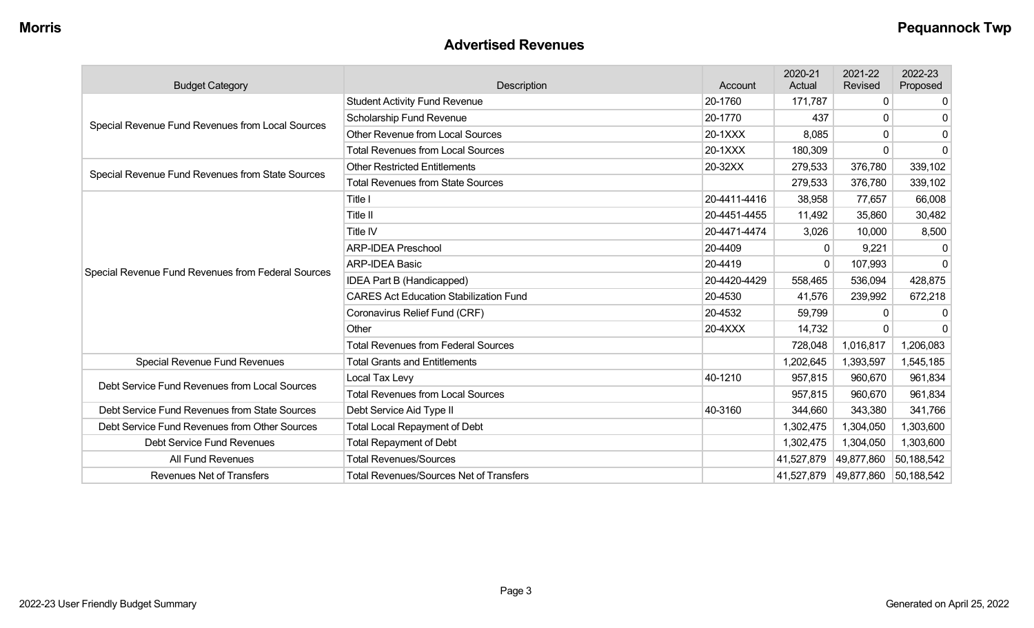### **Advertised Revenues**

| <b>Budget Category</b>                                                                | Description                                    | Account      | 2020-21<br>Actual | 2021-22<br>Revised | 2022-23<br>Proposed |
|---------------------------------------------------------------------------------------|------------------------------------------------|--------------|-------------------|--------------------|---------------------|
|                                                                                       | <b>Student Activity Fund Revenue</b>           | 20-1760      | 171,787           | 0                  | 0                   |
| Special Revenue Fund Revenues from Local Sources                                      | Scholarship Fund Revenue                       | 20-1770      | 437               | 0                  | n                   |
|                                                                                       | <b>Other Revenue from Local Sources</b>        | 20-1XXX      | 8,085             | 0                  | $\Omega$            |
|                                                                                       | <b>Total Revenues from Local Sources</b>       | 20-1XXX      | 180,309           | 0                  | $\Omega$            |
| Special Revenue Fund Revenues from State Sources                                      | <b>Other Restricted Entitlements</b>           | 20-32XX      | 279,533           | 376,780            | 339,102             |
|                                                                                       | <b>Total Revenues from State Sources</b>       |              | 279,533           | 376,780            | 339,102             |
|                                                                                       | Title I                                        | 20-4411-4416 | 38,958            | 77,657             | 66,008              |
|                                                                                       | <b>Title II</b>                                | 20-4451-4455 | 11,492            | 35,860             | 30,482              |
|                                                                                       | Title IV                                       | 20-4471-4474 | 3,026             | 10,000             | 8,500               |
|                                                                                       | <b>ARP-IDEA Preschool</b>                      | 20-4409      | $\Omega$          | 9,221              | $\Omega$            |
|                                                                                       | <b>ARP-IDEA Basic</b>                          | 20-4419      | $\mathbf{0}$      | 107,993            | $\Omega$            |
| Special Revenue Fund Revenues from Federal Sources                                    | IDEA Part B (Handicapped)                      | 20-4420-4429 | 558,465           | 536,094            | 428,875             |
|                                                                                       | <b>CARES Act Education Stabilization Fund</b>  | 20-4530      | 41,576            | 239,992            | 672,218             |
|                                                                                       | Coronavirus Relief Fund (CRF)                  | 20-4532      | 59,799            | 0                  |                     |
|                                                                                       | Other                                          | 20-4XXX      | 14,732            |                    |                     |
|                                                                                       | <b>Total Revenues from Federal Sources</b>     |              | 728,048           | 1,016,817          | 1,206,083           |
| Special Revenue Fund Revenues                                                         | <b>Total Grants and Entitlements</b>           |              | 1,202,645         | 1,393,597          | 1,545,185           |
| Debt Service Fund Revenues from Local Sources                                         | Local Tax Levy                                 | 40-1210      | 957,815           | 960,670            | 961,834             |
|                                                                                       | <b>Total Revenues from Local Sources</b>       |              | 957,815           | 960,670            | 961,834             |
| Debt Service Fund Revenues from State Sources                                         | Debt Service Aid Type II                       | 40-3160      | 344,660           | 343,380            | 341,766             |
| Debt Service Fund Revenues from Other Sources<br><b>Total Local Repayment of Debt</b> |                                                |              | 1,302,475         | 1,304,050          | 1,303,600           |
| Debt Service Fund Revenues                                                            | <b>Total Repayment of Debt</b>                 |              | 1,302,475         | 1,304,050          | 1,303,600           |
| All Fund Revenues                                                                     | <b>Total Revenues/Sources</b>                  |              | 41,527,879        | 49,877,860         | 50,188,542          |
| Revenues Net of Transfers                                                             | <b>Total Revenues/Sources Net of Transfers</b> |              | 41,527,879        | 49,877,860         | 50,188,542          |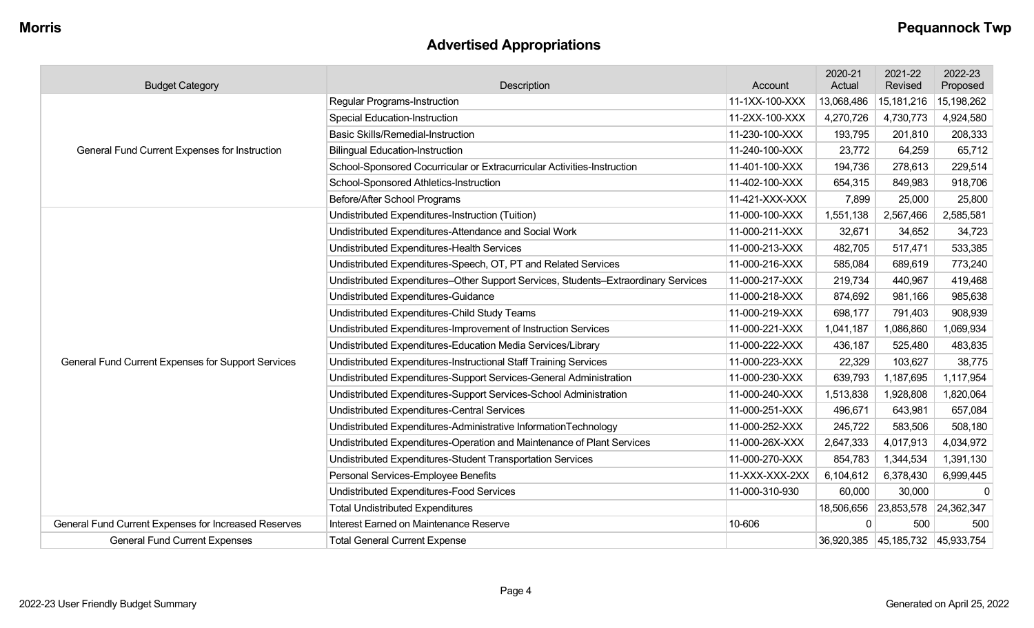# **Advertised Appropriations**

| <b>Budget Category</b>                               | Description                                                                        | Account        | 2020-21<br>Actual | 2021-22<br>Revised               | 2022-23<br>Proposed |
|------------------------------------------------------|------------------------------------------------------------------------------------|----------------|-------------------|----------------------------------|---------------------|
|                                                      | Regular Programs-Instruction                                                       | 11-1XX-100-XXX | 13,068,486        | 15,181,216                       | 15,198,262          |
|                                                      | <b>Special Education-Instruction</b>                                               | 11-2XX-100-XXX | 4,270,726         | 4,730,773                        | 4,924,580           |
|                                                      | <b>Basic Skills/Remedial-Instruction</b>                                           | 11-230-100-XXX | 193,795           | 201,810                          | 208,333             |
| General Fund Current Expenses for Instruction        | <b>Bilingual Education-Instruction</b>                                             | 11-240-100-XXX | 23,772            | 64,259                           | 65,712              |
|                                                      | School-Sponsored Cocurricular or Extracurricular Activities-Instruction            | 11-401-100-XXX | 194,736           | 278,613                          | 229,514             |
|                                                      | School-Sponsored Athletics-Instruction                                             | 11-402-100-XXX | 654,315           | 849,983                          | 918,706             |
|                                                      | Before/After School Programs                                                       | 11-421-XXX-XXX | 7,899             | 25,000                           | 25,800              |
|                                                      | Undistributed Expenditures-Instruction (Tuition)                                   | 11-000-100-XXX | 1,551,138         | 2,567,466                        | 2,585,581           |
|                                                      | Undistributed Expenditures-Attendance and Social Work                              | 11-000-211-XXX | 32,671            | 34,652                           | 34,723              |
|                                                      | Undistributed Expenditures-Health Services                                         | 11-000-213-XXX | 482,705           | 517,471                          | 533,385             |
|                                                      | Undistributed Expenditures-Speech, OT, PT and Related Services                     | 11-000-216-XXX | 585,084           | 689,619                          | 773,240             |
|                                                      | Undistributed Expenditures-Other Support Services, Students-Extraordinary Services | 11-000-217-XXX | 219,734           | 440,967                          | 419,468             |
|                                                      | Undistributed Expenditures-Guidance                                                | 11-000-218-XXX | 874,692           | 981,166                          | 985,638             |
|                                                      | Undistributed Expenditures-Child Study Teams                                       | 11-000-219-XXX | 698,177           | 791,403                          | 908,939             |
|                                                      | Undistributed Expenditures-Improvement of Instruction Services                     | 11-000-221-XXX | 1,041,187         | 1,086,860                        | 1,069,934           |
|                                                      | Undistributed Expenditures-Education Media Services/Library                        | 11-000-222-XXX | 436,187           | 525,480                          | 483,835             |
| General Fund Current Expenses for Support Services   | Undistributed Expenditures-Instructional Staff Training Services                   | 11-000-223-XXX | 22,329            | 103,627                          | 38,775              |
|                                                      | Undistributed Expenditures-Support Services-General Administration                 | 11-000-230-XXX | 639,793           | 1,187,695                        | 1,117,954           |
|                                                      | Undistributed Expenditures-Support Services-School Administration                  | 11-000-240-XXX | 1,513,838         | 1,928,808                        | 1,820,064           |
|                                                      | Undistributed Expenditures-Central Services                                        | 11-000-251-XXX | 496,671           | 643,981                          | 657,084             |
|                                                      | Undistributed Expenditures-Administrative InformationTechnology                    | 11-000-252-XXX | 245,722           | 583,506                          | 508,180             |
|                                                      | Undistributed Expenditures-Operation and Maintenance of Plant Services             | 11-000-26X-XXX | 2,647,333         | 4,017,913                        | 4,034,972           |
|                                                      | Undistributed Expenditures-Student Transportation Services                         | 11-000-270-XXX | 854,783           | 1,344,534                        | 1,391,130           |
|                                                      | Personal Services-Employee Benefits                                                | 11-XXX-XXX-2XX | 6,104,612         | 6,378,430                        | 6,999,445           |
|                                                      | <b>Undistributed Expenditures-Food Services</b>                                    | 11-000-310-930 | 60,000            | 30,000                           | $\mathbf 0$         |
|                                                      | <b>Total Undistributed Expenditures</b>                                            |                | 18,506,656        | 23,853,578 24,362,347            |                     |
| General Fund Current Expenses for Increased Reserves | Interest Earned on Maintenance Reserve                                             | 10-606         | $\Omega$          | 500                              | 500                 |
| <b>General Fund Current Expenses</b>                 | <b>Total General Current Expense</b>                                               |                |                   | 36,920,385 45,185,732 45,933,754 |                     |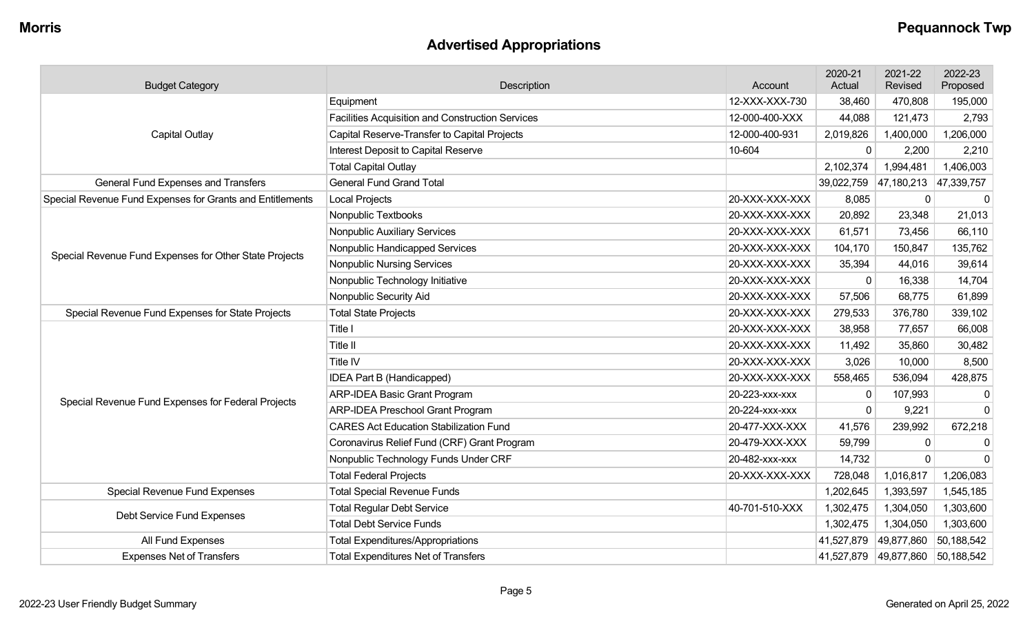# **Advertised Appropriations**

| <b>Budget Category</b>                                    | Description                                             | Account        | 2020-21<br>Actual | 2021-22<br>Revised | 2022-23<br>Proposed |
|-----------------------------------------------------------|---------------------------------------------------------|----------------|-------------------|--------------------|---------------------|
|                                                           | Equipment                                               | 12-XXX-XXX-730 | 38,460            | 470,808            | 195,000             |
|                                                           | <b>Facilities Acquisition and Construction Services</b> | 12-000-400-XXX | 44,088            | 121,473            | 2,793               |
| <b>Capital Outlay</b>                                     | Capital Reserve-Transfer to Capital Projects            | 12-000-400-931 | 2,019,826         | 1,400,000          | 1,206,000           |
|                                                           | Interest Deposit to Capital Reserve                     | 10-604         | $\Omega$          | 2,200              | 2,210               |
|                                                           | <b>Total Capital Outlay</b>                             |                | 2,102,374         | 1,994,481          | 1,406,003           |
| <b>General Fund Expenses and Transfers</b>                | <b>General Fund Grand Total</b>                         |                | 39,022,759        | 47,180,213         | 47,339,757          |
| Special Revenue Fund Expenses for Grants and Entitlements | Local Projects                                          | 20-XXX-XXX-XXX | 8,085             | 0                  | 0                   |
|                                                           | Nonpublic Textbooks                                     | 20-XXX-XXX-XXX | 20,892            | 23,348             | 21,013              |
|                                                           | Nonpublic Auxiliary Services                            | 20-XXX-XXX-XXX | 61,571            | 73,456             | 66,110              |
| Special Revenue Fund Expenses for Other State Projects    | Nonpublic Handicapped Services                          | 20-XXX-XXX-XXX | 104,170           | 150,847            | 135,762             |
|                                                           | <b>Nonpublic Nursing Services</b>                       | 20-XXX-XXX-XXX | 35,394            | 44,016             | 39,614              |
|                                                           | Nonpublic Technology Initiative                         | 20-XXX-XXX-XXX | $\mathbf{0}$      | 16,338             | 14,704              |
|                                                           | Nonpublic Security Aid                                  | 20-XXX-XXX-XXX | 57,506            | 68,775             | 61,899              |
| Special Revenue Fund Expenses for State Projects          | <b>Total State Projects</b>                             | 20-XXX-XXX-XXX | 279,533           | 376,780            | 339,102             |
|                                                           | Title I                                                 | 20-XXX-XXX-XXX | 38,958            | 77,657             | 66,008              |
|                                                           | Title II                                                | 20-XXX-XXX-XXX | 11,492            | 35,860             | 30,482              |
|                                                           | Title IV                                                | 20-XXX-XXX-XXX | 3,026             | 10,000             | 8,500               |
|                                                           | IDEA Part B (Handicapped)                               | 20-XXX-XXX-XXX | 558,465           | 536,094            | 428,875             |
| Special Revenue Fund Expenses for Federal Projects        | <b>ARP-IDEA Basic Grant Program</b>                     | 20-223-xxx-xxx | $\Omega$          | 107,993            | $\mathbf 0$         |
|                                                           | <b>ARP-IDEA Preschool Grant Program</b>                 | 20-224-xxx-xxx | $\mathbf 0$       | 9,221              | $\mathbf 0$         |
|                                                           | <b>CARES Act Education Stabilization Fund</b>           | 20-477-XXX-XXX | 41,576            | 239,992            | 672,218             |
|                                                           | Coronavirus Relief Fund (CRF) Grant Program             | 20-479-XXX-XXX | 59,799            | 0                  | 0                   |
|                                                           | Nonpublic Technology Funds Under CRF                    | 20-482-xxx-xxx | 14,732            | $\Omega$           | $\mathbf 0$         |
|                                                           | <b>Total Federal Projects</b>                           | 20-XXX-XXX-XXX | 728,048           | 1,016,817          | 1,206,083           |
| <b>Special Revenue Fund Expenses</b>                      | <b>Total Special Revenue Funds</b>                      |                | 1,202,645         | 1,393,597          | 1,545,185           |
| Debt Service Fund Expenses                                | <b>Total Regular Debt Service</b>                       | 40-701-510-XXX | 1,302,475         | 1,304,050          | 1,303,600           |
|                                                           | <b>Total Debt Service Funds</b>                         |                | 1,302,475         | 1,304,050          | 1,303,600           |
| All Fund Expenses                                         | <b>Total Expenditures/Appropriations</b>                |                | 41,527,879        | 49,877,860         | 50,188,542          |
| <b>Expenses Net of Transfers</b>                          | <b>Total Expenditures Net of Transfers</b>              |                | 41,527,879        | 49,877,860         | 50,188,542          |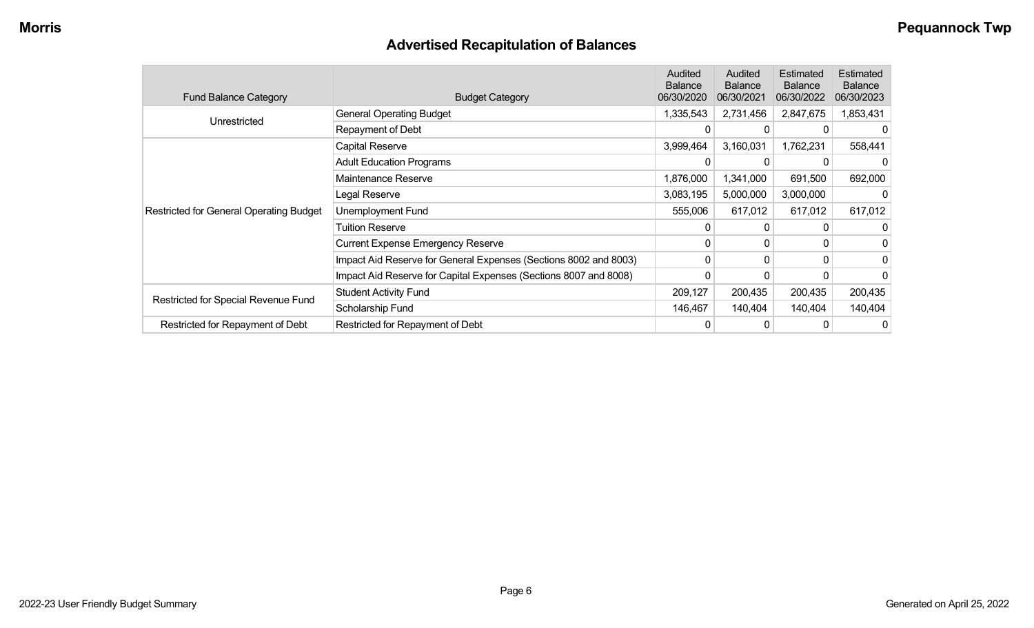# **Advertised Recapitulation of Balances**

| <b>Fund Balance Category</b>                   | <b>Budget Category</b>                                           | Audited<br><b>Balance</b><br>06/30/2020 | Audited<br><b>Balance</b><br>06/30/2021 | Estimated<br><b>Balance</b><br>06/30/2022 | Estimated<br><b>Balance</b><br>06/30/2023 |
|------------------------------------------------|------------------------------------------------------------------|-----------------------------------------|-----------------------------------------|-------------------------------------------|-------------------------------------------|
|                                                | <b>General Operating Budget</b>                                  | 1,335,543                               | 2,731,456                               | 2,847,675                                 | 1,853,431                                 |
| Unrestricted                                   | Repayment of Debt                                                | 0                                       | 0                                       | 0                                         |                                           |
|                                                | Capital Reserve                                                  | 3,999,464                               | 3,160,031                               | 1,762,231                                 | 558,441                                   |
|                                                | <b>Adult Education Programs</b>                                  |                                         |                                         |                                           |                                           |
|                                                | Maintenance Reserve                                              | 1,876,000                               | 1,341,000                               | 691,500                                   | 692,000                                   |
|                                                | Legal Reserve                                                    | 3,083,195                               | 5,000,000                               | 3,000,000                                 |                                           |
| <b>Restricted for General Operating Budget</b> | Unemployment Fund                                                | 555,006                                 | 617,012                                 | 617,012                                   | 617,012                                   |
|                                                | <b>Tuition Reserve</b>                                           | 0                                       | 0                                       |                                           |                                           |
|                                                | <b>Current Expense Emergency Reserve</b>                         | 0                                       | $\Omega$                                | 0                                         |                                           |
|                                                | Impact Aid Reserve for General Expenses (Sections 8002 and 8003) | 0                                       | 0                                       | 0                                         | 0                                         |
|                                                | Impact Aid Reserve for Capital Expenses (Sections 8007 and 8008) | 0                                       | 0                                       | 0                                         |                                           |
|                                                | <b>Student Activity Fund</b>                                     | 209,127                                 | 200,435                                 | 200,435                                   | 200,435                                   |
| Restricted for Special Revenue Fund            | Scholarship Fund                                                 | 146,467                                 | 140,404                                 | 140,404                                   | 140,404                                   |
| Restricted for Repayment of Debt               | Restricted for Repayment of Debt                                 |                                         |                                         | 0                                         | 0                                         |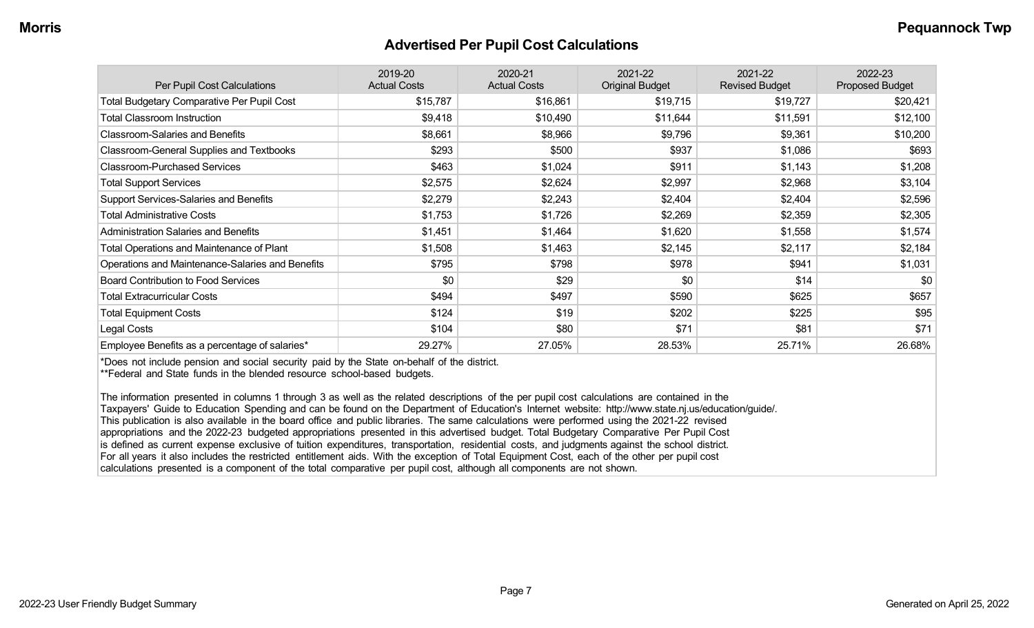#### **Advertised Per Pupil Cost Calculations**

| Per Pupil Cost Calculations                       | 2019-20<br><b>Actual Costs</b> | 2020-21<br><b>Actual Costs</b> | 2021-22<br><b>Original Budget</b> | 2021-22<br><b>Revised Budget</b> | 2022-23<br><b>Proposed Budget</b> |
|---------------------------------------------------|--------------------------------|--------------------------------|-----------------------------------|----------------------------------|-----------------------------------|
| <b>Total Budgetary Comparative Per Pupil Cost</b> | \$15,787                       | \$16,861                       | \$19,715                          | \$19,727                         | \$20,421                          |
| <b>Total Classroom Instruction</b>                | \$9,418                        | \$10,490                       | \$11,644                          | \$11,591                         | \$12,100                          |
| <b>Classroom-Salaries and Benefits</b>            | \$8,661                        | \$8,966                        | \$9,796                           | \$9,361                          | \$10,200                          |
| Classroom-General Supplies and Textbooks          | \$293                          | \$500                          | \$937                             | \$1,086                          | \$693                             |
| <b>Classroom-Purchased Services</b>               | \$463                          | \$1,024                        | \$911                             | \$1,143                          | \$1,208                           |
| <b>Total Support Services</b>                     | \$2,575                        | \$2,624                        | \$2,997                           | \$2,968                          | \$3,104                           |
| Support Services-Salaries and Benefits            | \$2,279                        | \$2,243                        | \$2,404                           | \$2,404                          | \$2,596                           |
| <b>Total Administrative Costs</b>                 | \$1,753                        | \$1,726                        | \$2,269                           | \$2,359                          | \$2,305                           |
| <b>Administration Salaries and Benefits</b>       | \$1,451                        | \$1,464                        | \$1,620                           | \$1,558                          | \$1,574                           |
| <b>Total Operations and Maintenance of Plant</b>  | \$1,508                        | \$1,463                        | \$2,145                           | \$2,117                          | \$2,184                           |
| Operations and Maintenance-Salaries and Benefits  | \$795                          | \$798                          | \$978                             | \$941                            | \$1,031                           |
| <b>Board Contribution to Food Services</b>        | \$0                            | \$29                           | \$0                               | \$14                             | \$0                               |
| <b>Total Extracurricular Costs</b>                | \$494                          | \$497                          | \$590                             | \$625                            | \$657                             |
| <b>Total Equipment Costs</b>                      | \$124                          | \$19                           | \$202                             | \$225                            | \$95                              |
| Legal Costs                                       | \$104                          | \$80                           | \$71                              | \$81                             | \$71                              |
| Employee Benefits as a percentage of salaries*    | 29.27%                         | 27.05%                         | 28.53%                            | 25.71%                           | 26.68%                            |

\*Does not include pension and social security paid by the State on-behalf of the district.

\*\*Federal and State funds in the blended resource school-based budgets.

The information presented in columns 1 through 3 as well as the related descriptions of the per pupil cost calculations are contained in the Taxpayers' Guide to Education Spending and can be found on the Department of Education's Internet website: http://www.state.nj.us/education/guide/. This publication is also available in the board office and public libraries. The same calculations were performed using the 2021-22 revised appropriations and the 2022-23 budgeted appropriations presented in this advertised budget. Total Budgetary Comparative Per Pupil Cost is defined as current expense exclusive of tuition expenditures, transportation, residential costs, and judgments against the school district. For all years it also includes the restricted entitlement aids. With the exception of Total Equipment Cost, each of the other per pupil cost calculations presented is a component of the total comparative per pupil cost, although all components are not shown.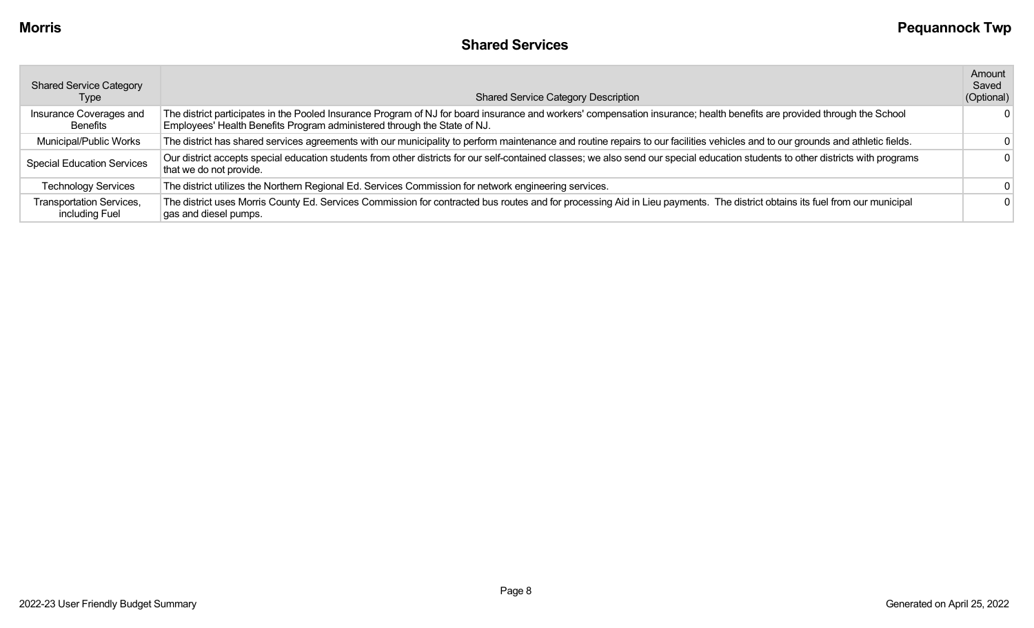| <b>Shared Service Category</b><br>Type     | <b>Shared Service Category Description</b>                                                                                                                                                                                                           | Amount<br>Saved<br>(Optional) |
|--------------------------------------------|------------------------------------------------------------------------------------------------------------------------------------------------------------------------------------------------------------------------------------------------------|-------------------------------|
| Insurance Coverages and<br>Benefits        | The district participates in the Pooled Insurance Program of NJ for board insurance and workers' compensation insurance; health benefits are provided through the School<br>Employees' Health Benefits Program administered through the State of NJ. | 0                             |
| Municipal/Public Works                     | The district has shared services agreements with our municipality to perform maintenance and routine repairs to our facilities vehicles and to our grounds and athletic fields.                                                                      |                               |
| <b>Special Education Services</b>          | Our district accepts special education students from other districts for our self-contained classes; we also send our special education students to other districts with programs<br>that we do not provide.                                         |                               |
| <b>Technology Services</b>                 | The district utilizes the Northern Regional Ed. Services Commission for network engineering services.                                                                                                                                                | $\Omega$                      |
| Transportation Services,<br>including Fuel | The district uses Morris County Ed. Services Commission for contracted bus routes and for processing Aid in Lieu payments. The district obtains its fuel from our municipal<br>gas and diesel pumps.                                                 |                               |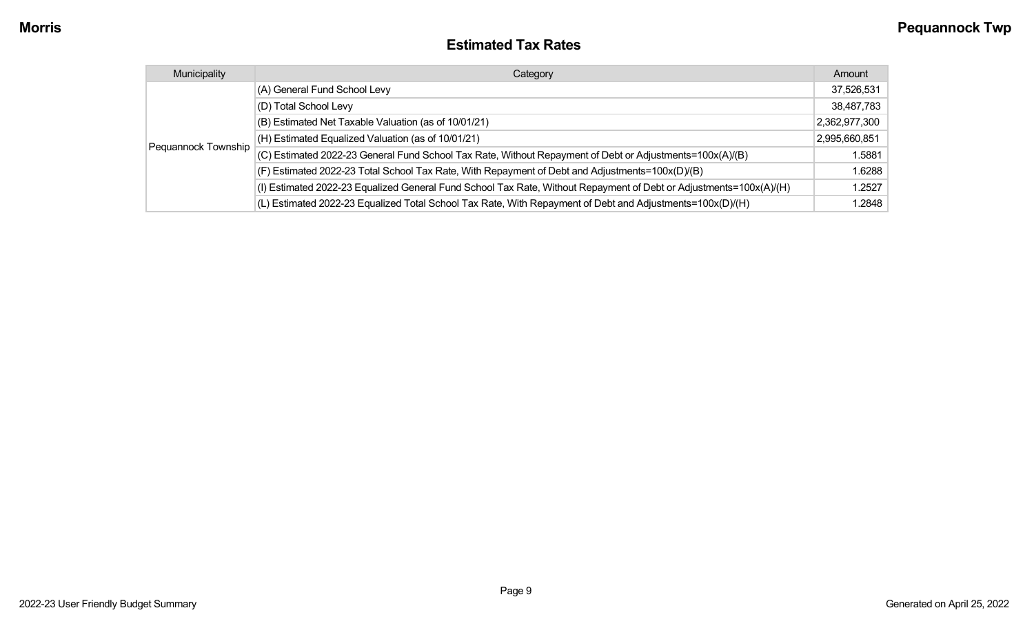### **Estimated Tax Rates**

| Municipality        | Category                                                                                                           | Amount        |
|---------------------|--------------------------------------------------------------------------------------------------------------------|---------------|
|                     | (A) General Fund School Levy                                                                                       | 37,526,531    |
|                     | (D) Total School Levy                                                                                              | 38,487,783    |
|                     | (B) Estimated Net Taxable Valuation (as of 10/01/21)                                                               | 2,362,977,300 |
|                     | (H) Estimated Equalized Valuation (as of 10/01/21)                                                                 | 2,995,660,851 |
| Pequannock Township | (C) Estimated 2022-23 General Fund School Tax Rate, Without Repayment of Debt or Adjustments=100x(A)/(B)           | 1.5881        |
|                     | (F) Estimated 2022-23 Total School Tax Rate, With Repayment of Debt and Adjustments=100x(D)/(B)                    | 1.6288        |
|                     | (I) Estimated 2022-23 Equalized General Fund School Tax Rate, Without Repayment of Debt or Adjustments=100x(A)/(H) | 1.2527        |
|                     | (L) Estimated 2022-23 Equalized Total School Tax Rate, With Repayment of Debt and Adjustments=100x(D)/(H)          | 1.2848        |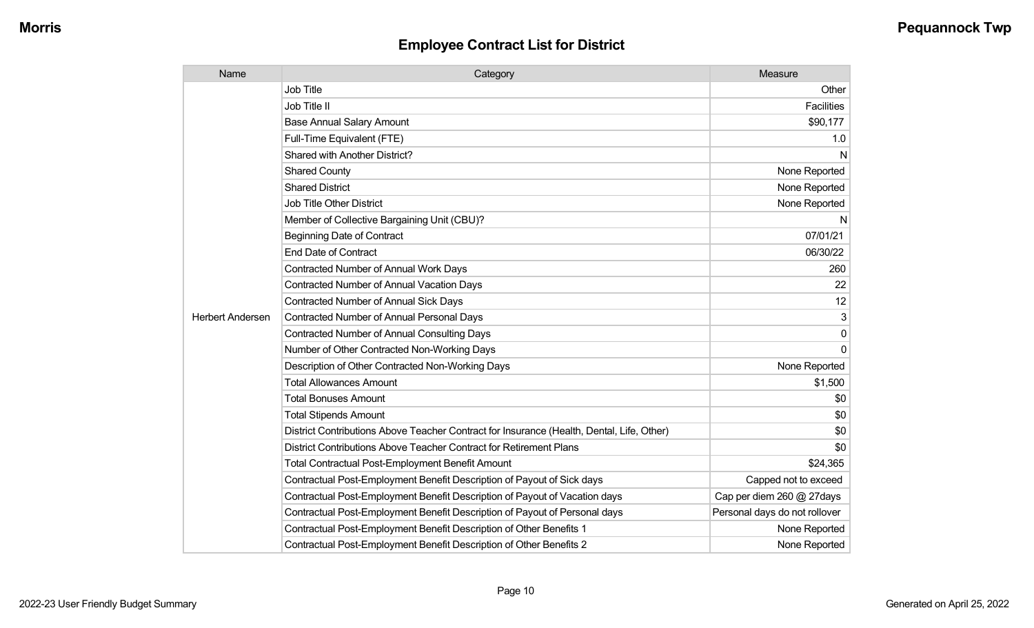| Name                    | Category                                                                                  | Measure                       |
|-------------------------|-------------------------------------------------------------------------------------------|-------------------------------|
|                         | <b>Job Title</b>                                                                          | Other                         |
|                         | Job Title II                                                                              | <b>Facilities</b>             |
|                         | <b>Base Annual Salary Amount</b>                                                          | \$90,177                      |
|                         | Full-Time Equivalent (FTE)                                                                | 1.0                           |
|                         | Shared with Another District?                                                             | N                             |
|                         | <b>Shared County</b>                                                                      | None Reported                 |
|                         | <b>Shared District</b>                                                                    | None Reported                 |
|                         | <b>Job Title Other District</b>                                                           | None Reported                 |
|                         | Member of Collective Bargaining Unit (CBU)?                                               | N                             |
|                         | <b>Beginning Date of Contract</b>                                                         | 07/01/21                      |
|                         | <b>End Date of Contract</b>                                                               | 06/30/22                      |
|                         | Contracted Number of Annual Work Days                                                     | 260                           |
|                         | Contracted Number of Annual Vacation Days                                                 | 22                            |
|                         | <b>Contracted Number of Annual Sick Days</b>                                              | 12                            |
| <b>Herbert Andersen</b> | Contracted Number of Annual Personal Days                                                 | 3                             |
|                         | <b>Contracted Number of Annual Consulting Days</b>                                        | $\mathbf 0$                   |
|                         | Number of Other Contracted Non-Working Days                                               | $\Omega$                      |
|                         | Description of Other Contracted Non-Working Days                                          | None Reported                 |
|                         | <b>Total Allowances Amount</b>                                                            | \$1,500                       |
|                         | <b>Total Bonuses Amount</b>                                                               | \$0                           |
|                         | <b>Total Stipends Amount</b>                                                              | \$0                           |
|                         | District Contributions Above Teacher Contract for Insurance (Health, Dental, Life, Other) | \$0                           |
|                         | District Contributions Above Teacher Contract for Retirement Plans                        | \$0                           |
|                         | <b>Total Contractual Post-Employment Benefit Amount</b>                                   | \$24,365                      |
|                         | Contractual Post-Employment Benefit Description of Payout of Sick days                    | Capped not to exceed          |
|                         | Contractual Post-Employment Benefit Description of Payout of Vacation days                | Cap per diem 260 @ 27days     |
|                         | Contractual Post-Employment Benefit Description of Payout of Personal days                | Personal days do not rollover |
|                         | Contractual Post-Employment Benefit Description of Other Benefits 1                       | None Reported                 |
|                         | Contractual Post-Employment Benefit Description of Other Benefits 2                       | None Reported                 |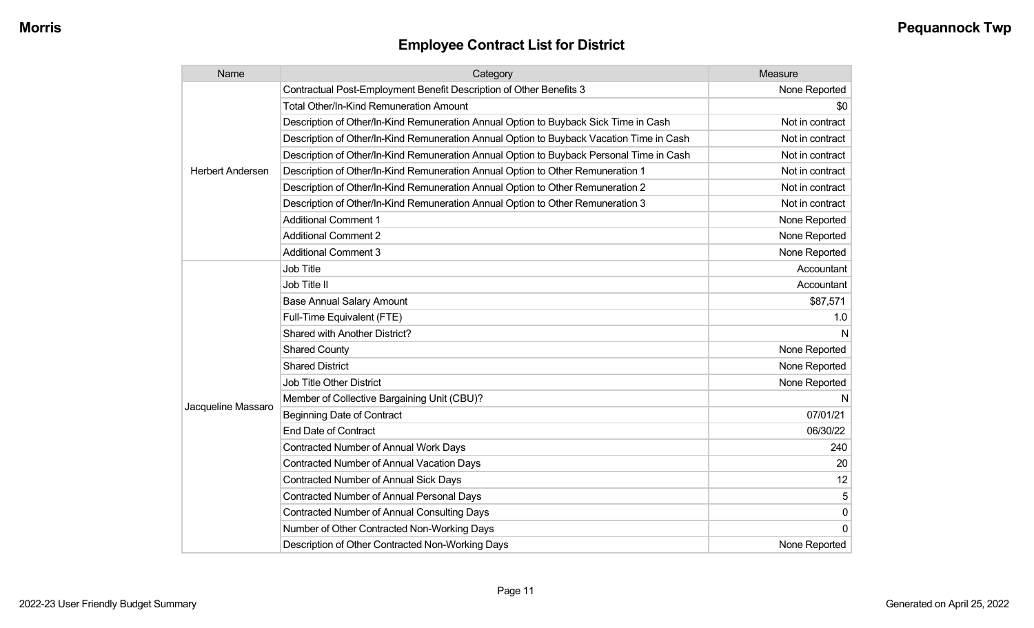| Name                    | Category                                                                                 | Measure         |
|-------------------------|------------------------------------------------------------------------------------------|-----------------|
|                         | Contractual Post-Employment Benefit Description of Other Benefits 3                      | None Reported   |
|                         | <b>Total Other/In-Kind Remuneration Amount</b>                                           | \$0             |
|                         | Description of Other/In-Kind Remuneration Annual Option to Buyback Sick Time in Cash     | Not in contract |
|                         | Description of Other/In-Kind Remuneration Annual Option to Buyback Vacation Time in Cash | Not in contract |
|                         | Description of Other/In-Kind Remuneration Annual Option to Buyback Personal Time in Cash | Not in contract |
| <b>Herbert Andersen</b> | Description of Other/In-Kind Remuneration Annual Option to Other Remuneration 1          | Not in contract |
|                         | Description of Other/In-Kind Remuneration Annual Option to Other Remuneration 2          | Not in contract |
|                         | Description of Other/In-Kind Remuneration Annual Option to Other Remuneration 3          | Not in contract |
|                         | <b>Additional Comment 1</b>                                                              | None Reported   |
|                         | <b>Additional Comment 2</b>                                                              | None Reported   |
|                         | <b>Additional Comment 3</b>                                                              | None Reported   |
|                         | Job Title                                                                                | Accountant      |
|                         | Job Title II                                                                             | Accountant      |
|                         | <b>Base Annual Salary Amount</b>                                                         | \$87,571        |
|                         | Full-Time Equivalent (FTE)                                                               | 1.0             |
|                         | Shared with Another District?                                                            | N               |
|                         | <b>Shared County</b>                                                                     | None Reported   |
|                         | <b>Shared District</b>                                                                   | None Reported   |
|                         | <b>Job Title Other District</b>                                                          | None Reported   |
|                         | Member of Collective Bargaining Unit (CBU)?                                              | N               |
| Jacqueline Massaro      | <b>Beginning Date of Contract</b>                                                        | 07/01/21        |
|                         | <b>End Date of Contract</b>                                                              | 06/30/22        |
|                         | <b>Contracted Number of Annual Work Days</b>                                             | 240             |
|                         | <b>Contracted Number of Annual Vacation Days</b>                                         | 20              |
|                         | Contracted Number of Annual Sick Days                                                    | 12              |
|                         | Contracted Number of Annual Personal Days                                                | 5               |
|                         | <b>Contracted Number of Annual Consulting Days</b>                                       | 0               |
|                         | Number of Other Contracted Non-Working Days                                              | 0               |
|                         | Description of Other Contracted Non-Working Days                                         | None Reported   |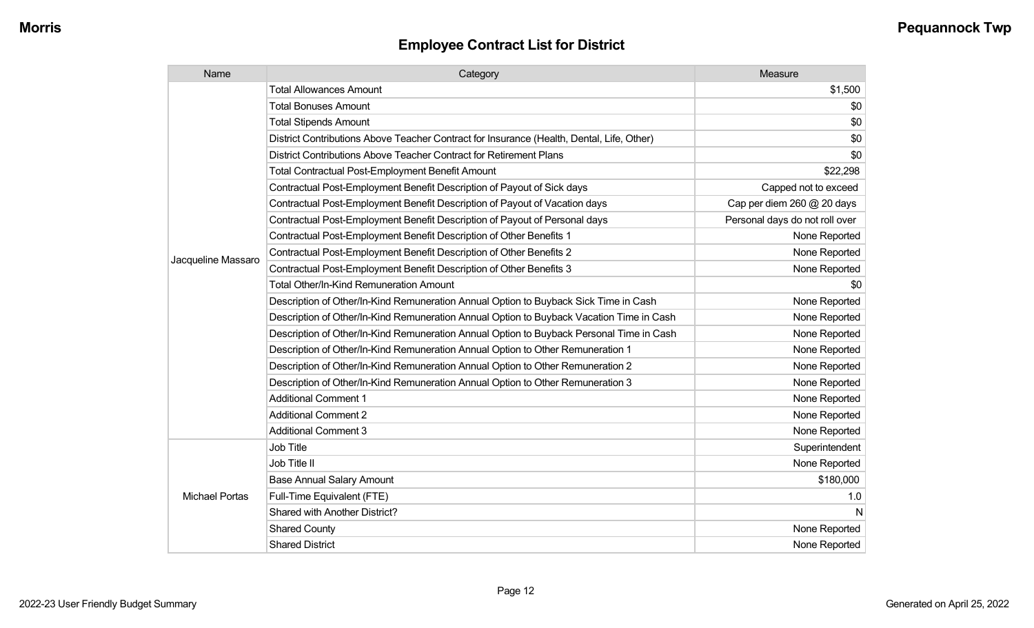| Name                  | Category                                                                                  | Measure                        |
|-----------------------|-------------------------------------------------------------------------------------------|--------------------------------|
|                       | <b>Total Allowances Amount</b>                                                            | \$1,500                        |
|                       | <b>Total Bonuses Amount</b>                                                               | \$0                            |
|                       | <b>Total Stipends Amount</b>                                                              | \$0                            |
|                       | District Contributions Above Teacher Contract for Insurance (Health, Dental, Life, Other) | \$0                            |
|                       | District Contributions Above Teacher Contract for Retirement Plans                        | \$0                            |
|                       | Total Contractual Post-Employment Benefit Amount                                          | \$22,298                       |
|                       | Contractual Post-Employment Benefit Description of Payout of Sick days                    | Capped not to exceed           |
|                       | Contractual Post-Employment Benefit Description of Payout of Vacation days                | Cap per diem 260 @ 20 days     |
|                       | Contractual Post-Employment Benefit Description of Payout of Personal days                | Personal days do not roll over |
|                       | Contractual Post-Employment Benefit Description of Other Benefits 1                       | None Reported                  |
| Jacqueline Massaro    | Contractual Post-Employment Benefit Description of Other Benefits 2                       | None Reported                  |
|                       | Contractual Post-Employment Benefit Description of Other Benefits 3                       | None Reported                  |
|                       | Total Other/In-Kind Remuneration Amount                                                   | \$0                            |
|                       | Description of Other/In-Kind Remuneration Annual Option to Buyback Sick Time in Cash      | None Reported                  |
|                       | Description of Other/In-Kind Remuneration Annual Option to Buyback Vacation Time in Cash  | None Reported                  |
|                       | Description of Other/In-Kind Remuneration Annual Option to Buyback Personal Time in Cash  | None Reported                  |
|                       | Description of Other/In-Kind Remuneration Annual Option to Other Remuneration 1           | None Reported                  |
|                       | Description of Other/In-Kind Remuneration Annual Option to Other Remuneration 2           | None Reported                  |
|                       | Description of Other/In-Kind Remuneration Annual Option to Other Remuneration 3           | None Reported                  |
|                       | <b>Additional Comment 1</b>                                                               | None Reported                  |
|                       | <b>Additional Comment 2</b>                                                               | None Reported                  |
|                       | <b>Additional Comment 3</b>                                                               | None Reported                  |
|                       | Job Title                                                                                 | Superintendent                 |
|                       | Job Title II                                                                              | None Reported                  |
|                       | <b>Base Annual Salary Amount</b>                                                          | \$180,000                      |
| <b>Michael Portas</b> | Full-Time Equivalent (FTE)                                                                | 1.0                            |
|                       | Shared with Another District?                                                             | N                              |
|                       | <b>Shared County</b>                                                                      | None Reported                  |
|                       | <b>Shared District</b>                                                                    | None Reported                  |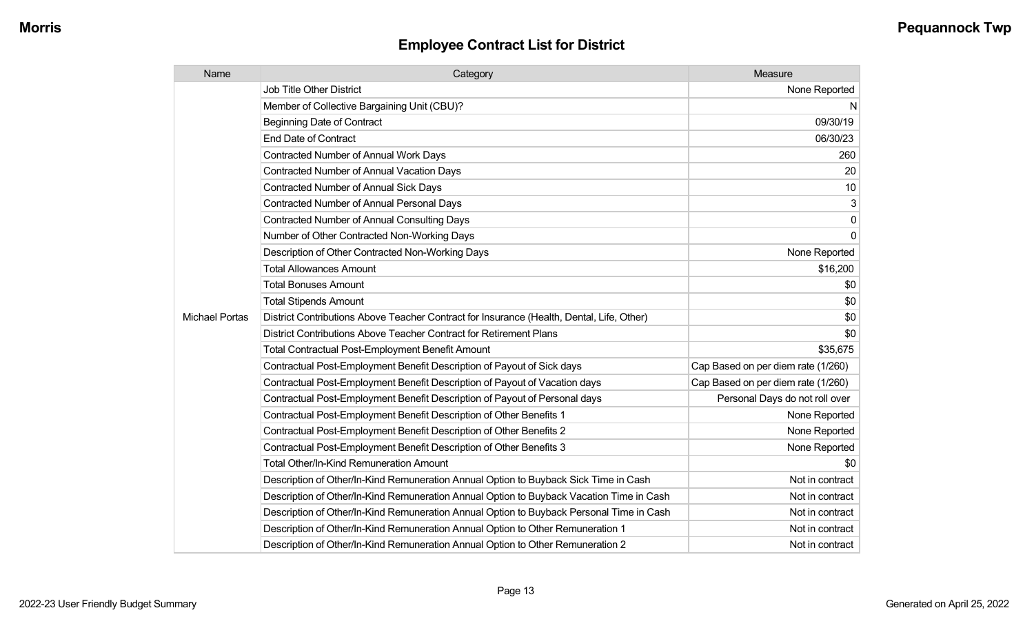| Name                  | Category                                                                                  | Measure                            |
|-----------------------|-------------------------------------------------------------------------------------------|------------------------------------|
|                       | <b>Job Title Other District</b>                                                           | None Reported                      |
|                       | Member of Collective Bargaining Unit (CBU)?                                               | N                                  |
|                       | <b>Beginning Date of Contract</b>                                                         | 09/30/19                           |
|                       | <b>End Date of Contract</b>                                                               | 06/30/23                           |
|                       | Contracted Number of Annual Work Days                                                     | 260                                |
|                       | Contracted Number of Annual Vacation Days                                                 | 20                                 |
|                       | <b>Contracted Number of Annual Sick Days</b>                                              | 10                                 |
|                       | Contracted Number of Annual Personal Days                                                 | 3                                  |
|                       | <b>Contracted Number of Annual Consulting Days</b>                                        | 0                                  |
|                       | Number of Other Contracted Non-Working Days                                               | $\mathbf{0}$                       |
|                       | Description of Other Contracted Non-Working Days                                          | None Reported                      |
|                       | <b>Total Allowances Amount</b>                                                            | \$16,200                           |
|                       | <b>Total Bonuses Amount</b>                                                               | \$0                                |
|                       | <b>Total Stipends Amount</b>                                                              | \$0                                |
| <b>Michael Portas</b> | District Contributions Above Teacher Contract for Insurance (Health, Dental, Life, Other) | \$0                                |
|                       | District Contributions Above Teacher Contract for Retirement Plans                        | \$0                                |
|                       | <b>Total Contractual Post-Employment Benefit Amount</b>                                   | \$35,675                           |
|                       | Contractual Post-Employment Benefit Description of Payout of Sick days                    | Cap Based on per diem rate (1/260) |
|                       | Contractual Post-Employment Benefit Description of Payout of Vacation days                | Cap Based on per diem rate (1/260) |
|                       | Contractual Post-Employment Benefit Description of Payout of Personal days                | Personal Days do not roll over     |
|                       | Contractual Post-Employment Benefit Description of Other Benefits 1                       | None Reported                      |
|                       | Contractual Post-Employment Benefit Description of Other Benefits 2                       | None Reported                      |
|                       | Contractual Post-Employment Benefit Description of Other Benefits 3                       | None Reported                      |
|                       | Total Other/In-Kind Remuneration Amount                                                   | \$0                                |
|                       | Description of Other/In-Kind Remuneration Annual Option to Buyback Sick Time in Cash      | Not in contract                    |
|                       | Description of Other/In-Kind Remuneration Annual Option to Buyback Vacation Time in Cash  | Not in contract                    |
|                       | Description of Other/In-Kind Remuneration Annual Option to Buyback Personal Time in Cash  | Not in contract                    |
|                       | Description of Other/In-Kind Remuneration Annual Option to Other Remuneration 1           | Not in contract                    |
|                       | Description of Other/In-Kind Remuneration Annual Option to Other Remuneration 2           | Not in contract                    |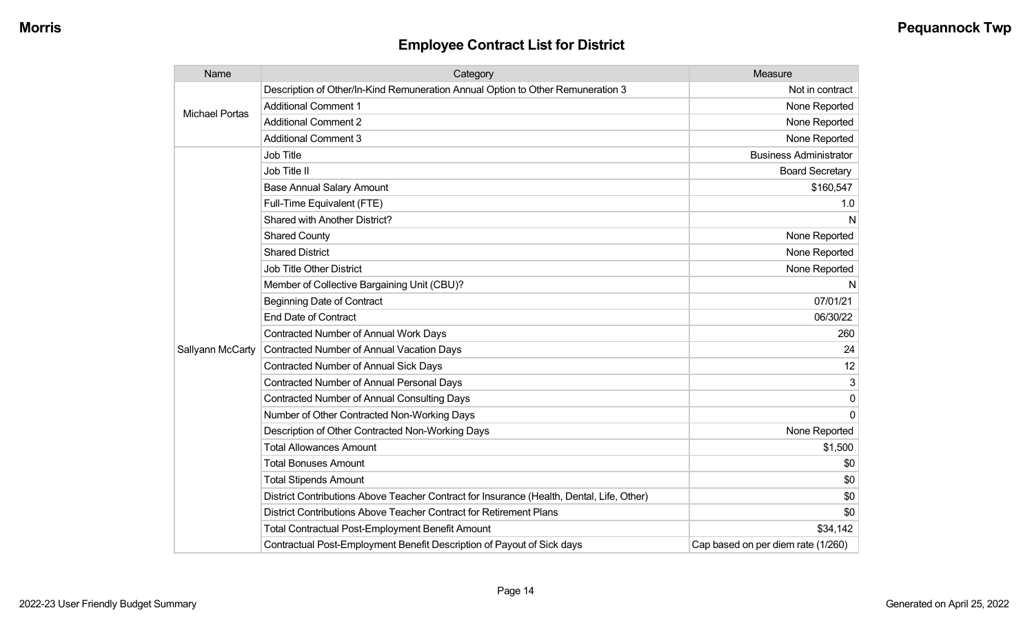| Name                  | Category                                                                                  | Measure                            |
|-----------------------|-------------------------------------------------------------------------------------------|------------------------------------|
| <b>Michael Portas</b> | Description of Other/In-Kind Remuneration Annual Option to Other Remuneration 3           | Not in contract                    |
|                       | <b>Additional Comment 1</b>                                                               | None Reported                      |
|                       | <b>Additional Comment 2</b>                                                               | None Reported                      |
|                       | <b>Additional Comment 3</b>                                                               | None Reported                      |
|                       | Job Title                                                                                 | <b>Business Administrator</b>      |
|                       | Job Title II                                                                              | <b>Board Secretary</b>             |
|                       | <b>Base Annual Salary Amount</b>                                                          | \$160,547                          |
|                       | Full-Time Equivalent (FTE)                                                                | 1.0                                |
|                       | Shared with Another District?                                                             | N                                  |
|                       | <b>Shared County</b>                                                                      | None Reported                      |
|                       | <b>Shared District</b>                                                                    | None Reported                      |
|                       | <b>Job Title Other District</b>                                                           | None Reported                      |
|                       | Member of Collective Bargaining Unit (CBU)?                                               | N                                  |
|                       | <b>Beginning Date of Contract</b>                                                         | 07/01/21                           |
|                       | <b>End Date of Contract</b>                                                               | 06/30/22                           |
|                       | <b>Contracted Number of Annual Work Days</b>                                              | 260                                |
| Sallyann McCarty      | Contracted Number of Annual Vacation Days                                                 | 24                                 |
|                       | <b>Contracted Number of Annual Sick Days</b>                                              | 12                                 |
|                       | <b>Contracted Number of Annual Personal Days</b>                                          | 3                                  |
|                       | <b>Contracted Number of Annual Consulting Days</b>                                        | $\Omega$                           |
|                       | Number of Other Contracted Non-Working Days                                               | $\Omega$                           |
|                       | Description of Other Contracted Non-Working Days                                          | None Reported                      |
|                       | <b>Total Allowances Amount</b>                                                            | \$1,500                            |
|                       | <b>Total Bonuses Amount</b>                                                               | \$0                                |
|                       | <b>Total Stipends Amount</b>                                                              | \$0                                |
|                       | District Contributions Above Teacher Contract for Insurance (Health, Dental, Life, Other) | \$0                                |
|                       | District Contributions Above Teacher Contract for Retirement Plans                        | \$0                                |
|                       | <b>Total Contractual Post-Employment Benefit Amount</b>                                   | \$34,142                           |
|                       | Contractual Post-Employment Benefit Description of Payout of Sick days                    | Cap based on per diem rate (1/260) |